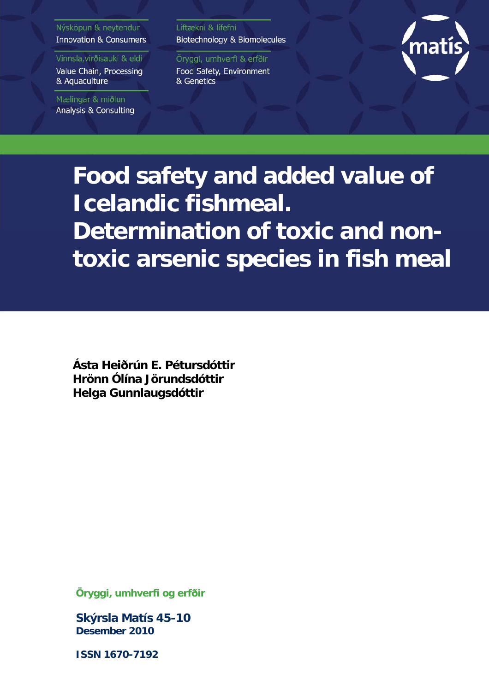# Nýsköpun & neytendur **Innovation & Consumers**

Vinnsla, virðisauki & eldi Value Chain, Processing

Mælingar & miðlun

& Aquaculture

**Analysis & Consulting** 

Líftækni & lífefni Biotechnology & Biomolecules

Öryggi, umhverfi & erfðir Food Safety, Environment & Genetics



**Food safety and added value of Icelandic fishmeal. Determination of toxic and nontoxic arsenic species in fish meal**

**Ásta Heiðrún E. Pétursdóttir Hrönn Ólína Jörundsdóttir Helga Gunnlaugsdóttir**

**Öryggi, umhverfi og erfðir** 

**Skýrsla Matís 45-10 Desember 2010** 

**ISSN 1670-7192**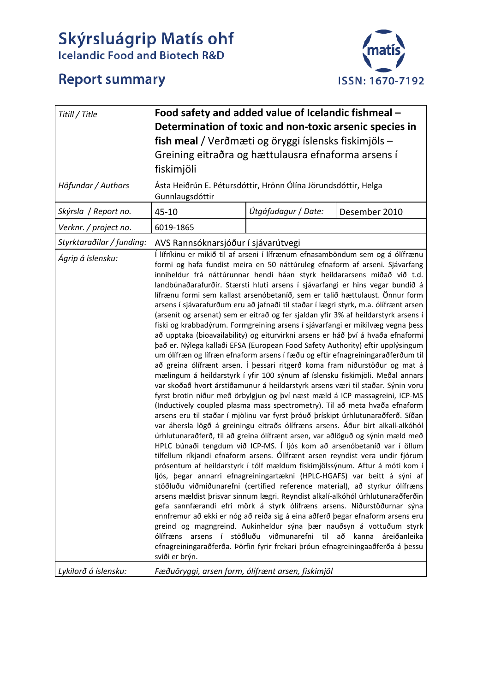# Skýrsluágrip Matís ohf<br>Icelandic Food and Biotech R&D





| Titill / Title                                 | Food safety and added value of Icelandic fishmeal -<br>Determination of toxic and non-toxic arsenic species in<br>fish meal / Verðmæti og öryggi íslensks fiskimjöls -<br>Greining eitraðra og hættulausra efnaforma arsens í<br>fiskimjöli                                                                                                                                                                                                                                                                                                                                                                                                                                                                                                                                                                                                                                                                                                                                                                                                                                                                                                                                                                                                                                                                                                                                                                                                                                                                                                                                                                                                                                                                                                                                                                                                                                                                                                                                                                                                                                                                                                                                                                                                                                                                                                                                                                                                                                                                                                                                                                                                                               |                     |               |  |
|------------------------------------------------|---------------------------------------------------------------------------------------------------------------------------------------------------------------------------------------------------------------------------------------------------------------------------------------------------------------------------------------------------------------------------------------------------------------------------------------------------------------------------------------------------------------------------------------------------------------------------------------------------------------------------------------------------------------------------------------------------------------------------------------------------------------------------------------------------------------------------------------------------------------------------------------------------------------------------------------------------------------------------------------------------------------------------------------------------------------------------------------------------------------------------------------------------------------------------------------------------------------------------------------------------------------------------------------------------------------------------------------------------------------------------------------------------------------------------------------------------------------------------------------------------------------------------------------------------------------------------------------------------------------------------------------------------------------------------------------------------------------------------------------------------------------------------------------------------------------------------------------------------------------------------------------------------------------------------------------------------------------------------------------------------------------------------------------------------------------------------------------------------------------------------------------------------------------------------------------------------------------------------------------------------------------------------------------------------------------------------------------------------------------------------------------------------------------------------------------------------------------------------------------------------------------------------------------------------------------------------------------------------------------------------------------------------------------------------|---------------------|---------------|--|
| Höfundar / Authors                             | Gunnlaugsdóttir                                                                                                                                                                                                                                                                                                                                                                                                                                                                                                                                                                                                                                                                                                                                                                                                                                                                                                                                                                                                                                                                                                                                                                                                                                                                                                                                                                                                                                                                                                                                                                                                                                                                                                                                                                                                                                                                                                                                                                                                                                                                                                                                                                                                                                                                                                                                                                                                                                                                                                                                                                                                                                                           |                     |               |  |
| Skýrsla / Report no.                           | 45-10                                                                                                                                                                                                                                                                                                                                                                                                                                                                                                                                                                                                                                                                                                                                                                                                                                                                                                                                                                                                                                                                                                                                                                                                                                                                                                                                                                                                                                                                                                                                                                                                                                                                                                                                                                                                                                                                                                                                                                                                                                                                                                                                                                                                                                                                                                                                                                                                                                                                                                                                                                                                                                                                     | Útgáfudagur / Date: | Desember 2010 |  |
| Verknr. / project no.                          | 6019-1865                                                                                                                                                                                                                                                                                                                                                                                                                                                                                                                                                                                                                                                                                                                                                                                                                                                                                                                                                                                                                                                                                                                                                                                                                                                                                                                                                                                                                                                                                                                                                                                                                                                                                                                                                                                                                                                                                                                                                                                                                                                                                                                                                                                                                                                                                                                                                                                                                                                                                                                                                                                                                                                                 |                     |               |  |
| Styrktaraðilar / funding:<br>Ágrip á íslensku: | Ásta Heiðrún E. Pétursdóttir, Hrönn Ólína Jörundsdóttir, Helga<br>AVS Rannsóknarsjóður í sjávarútvegi<br>Í lífríkinu er mikið til af arseni í lífrænum efnasamböndum sem og á ólífrænu<br>formi og hafa fundist meira en 50 náttúruleg efnaform af arseni. Sjávarfang<br>inniheldur frá náttúrunnar hendi háan styrk heildararsens miðað við t.d.<br>landbúnaðarafurðir. Stærsti hluti arsens í sjávarfangi er hins vegar bundið á<br>lífrænu formi sem kallast arsenóbetaníð, sem er talið hættulaust. Önnur form<br>arsens í sjávarafurðum eru að jafnaði til staðar í lægri styrk, m.a. ólífrænt arsen<br>(arsenít og arsenat) sem er eitrað og fer sjaldan yfir 3% af heildarstyrk arsens í<br>fiski og krabbadýrum. Formgreining arsens í sjávarfangi er mikilvæg vegna þess<br>að upptaka (bioavailability) og eiturvirkni arsens er háð því á hvaða efnaformi<br>það er. Nýlega kallaði EFSA (European Food Safety Authority) eftir upplýsingum<br>um ólífræn og lífræn efnaform arsens í fæðu og eftir efnagreiningaraðferðum til<br>að greina ólífrænt arsen. Í þessari ritgerð koma fram niðurstöður og mat á<br>mælingum á heildarstyrk í yfir 100 sýnum af íslensku fiskimjöli. Meðal annars<br>var skoðað hvort árstíðamunur á heildarstyrk arsens væri til staðar. Sýnin voru<br>fyrst brotin niður með örbylgjun og því næst mæld á ICP massagreini, ICP-MS<br>(Inductively coupled plasma mass spectrometry). Til að meta hvaða efnaform<br>arsens eru til staðar í mjölinu var fyrst þróuð þrískipt úrhlutunaraðferð. Síðan<br>var áhersla lögð á greiningu eitraðs ólífræns arsens. Áður birt alkalí-alkóhól<br>úrhlutunaraðferð, til að greina ólífrænt arsen, var aðlöguð og sýnin mæld með<br>HPLC búnaði tengdum við ICP-MS. Í ljós kom að arsenóbetaníð var í öllum<br>tilfellum ríkjandi efnaform arsens. Ólífrænt arsen reyndist vera undir fjórum<br>prósentum af heildarstyrk í tólf mældum fiskimjölssýnum. Aftur á móti kom í<br>ljós, þegar annarri efnagreiningartækni (HPLC-HGAFS) var beitt á sýni af<br>stöðluðu viðmiðunarefni (certified reference material), að styrkur ólífræns<br>arsens mældist þrisvar sinnum lægri. Reyndist alkalí-alkóhól úrhlutunaraðferðin<br>gefa sannfærandi efri mörk á styrk ólífræns arsens. Niðurstöðurnar sýna<br>ennfremur að ekki er nóg að reiða sig á eina aðferð þegar efnaform arsens eru<br>greind og magngreind. Aukinheldur sýna þær nauðsyn á vottuðum styrk<br>ólífræns arsens í stöðluðu viðmunarefni til að kanna áreiðanleika<br>efnagreiningaraðferða. Þörfin fyrir frekari þróun efnagreiningaaðferða á þessu<br>sviði er brýn.<br>Fæðuöryggi, arsen form, ólífrænt arsen, fiskimjöl |                     |               |  |
| Lykilorð á íslensku:                           |                                                                                                                                                                                                                                                                                                                                                                                                                                                                                                                                                                                                                                                                                                                                                                                                                                                                                                                                                                                                                                                                                                                                                                                                                                                                                                                                                                                                                                                                                                                                                                                                                                                                                                                                                                                                                                                                                                                                                                                                                                                                                                                                                                                                                                                                                                                                                                                                                                                                                                                                                                                                                                                                           |                     |               |  |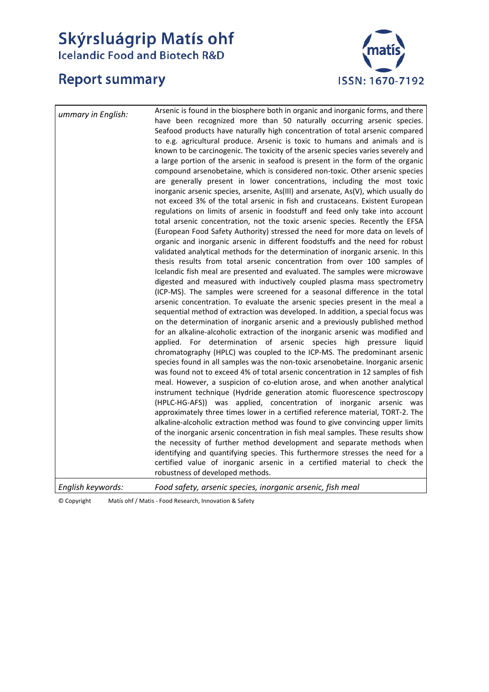# **Skýrsluágrip Matís ohf**<br>Icelandic Food and Biotech R&D

# **Report summary**



| ummary in English: | Arsenic is found in the biosphere both in organic and inorganic forms, and there<br>have been recognized more than 50 naturally occurring arsenic species.<br>Seafood products have naturally high concentration of total arsenic compared<br>to e.g. agricultural produce. Arsenic is toxic to humans and animals and is<br>known to be carcinogenic. The toxicity of the arsenic species varies severely and<br>a large portion of the arsenic in seafood is present in the form of the organic<br>compound arsenobetaine, which is considered non-toxic. Other arsenic species<br>are generally present in lower concentrations, including the most toxic<br>inorganic arsenic species, arsenite, As(III) and arsenate, As(V), which usually do<br>not exceed 3% of the total arsenic in fish and crustaceans. Existent European<br>regulations on limits of arsenic in foodstuff and feed only take into account<br>total arsenic concentration, not the toxic arsenic species. Recently the EFSA<br>(European Food Safety Authority) stressed the need for more data on levels of<br>organic and inorganic arsenic in different foodstuffs and the need for robust<br>validated analytical methods for the determination of inorganic arsenic. In this<br>thesis results from total arsenic concentration from over 100 samples of<br>Icelandic fish meal are presented and evaluated. The samples were microwave<br>digested and measured with inductively coupled plasma mass spectrometry<br>(ICP-MS). The samples were screened for a seasonal difference in the total<br>arsenic concentration. To evaluate the arsenic species present in the meal a<br>sequential method of extraction was developed. In addition, a special focus was<br>on the determination of inorganic arsenic and a previously published method<br>for an alkaline-alcoholic extraction of the inorganic arsenic was modified and<br>applied. For determination of arsenic species high pressure liquid<br>chromatography (HPLC) was coupled to the ICP-MS. The predominant arsenic<br>species found in all samples was the non-toxic arsenobetaine. Inorganic arsenic<br>was found not to exceed 4% of total arsenic concentration in 12 samples of fish<br>meal. However, a suspicion of co-elution arose, and when another analytical<br>instrument technique (Hydride generation atomic fluorescence spectroscopy<br>(HPLC-HG-AFS)) was applied, concentration of inorganic arsenic was<br>approximately three times lower in a certified reference material, TORT-2. The<br>alkaline-alcoholic extraction method was found to give convincing upper limits<br>of the inorganic arsenic concentration in fish meal samples. These results show<br>the necessity of further method development and separate methods when<br>identifying and quantifying species. This furthermore stresses the need for a<br>certified value of inorganic arsenic in a certified material to check the<br>robustness of developed methods. |
|--------------------|-----------------------------------------------------------------------------------------------------------------------------------------------------------------------------------------------------------------------------------------------------------------------------------------------------------------------------------------------------------------------------------------------------------------------------------------------------------------------------------------------------------------------------------------------------------------------------------------------------------------------------------------------------------------------------------------------------------------------------------------------------------------------------------------------------------------------------------------------------------------------------------------------------------------------------------------------------------------------------------------------------------------------------------------------------------------------------------------------------------------------------------------------------------------------------------------------------------------------------------------------------------------------------------------------------------------------------------------------------------------------------------------------------------------------------------------------------------------------------------------------------------------------------------------------------------------------------------------------------------------------------------------------------------------------------------------------------------------------------------------------------------------------------------------------------------------------------------------------------------------------------------------------------------------------------------------------------------------------------------------------------------------------------------------------------------------------------------------------------------------------------------------------------------------------------------------------------------------------------------------------------------------------------------------------------------------------------------------------------------------------------------------------------------------------------------------------------------------------------------------------------------------------------------------------------------------------------------------------------------------------------------------------------------------------------------------------------------------------------------------------------------------------------------------------------------------------------------------------------------------------------------------------------------------------------------------------------------------------------------------------------------------|
| English keywords:  | Food safety, arsenic species, inorganic arsenic, fish meal                                                                                                                                                                                                                                                                                                                                                                                                                                                                                                                                                                                                                                                                                                                                                                                                                                                                                                                                                                                                                                                                                                                                                                                                                                                                                                                                                                                                                                                                                                                                                                                                                                                                                                                                                                                                                                                                                                                                                                                                                                                                                                                                                                                                                                                                                                                                                                                                                                                                                                                                                                                                                                                                                                                                                                                                                                                                                                                                                      |

© Copyright Matís ohf / Matis ‐ Food Research, Innovation & Safety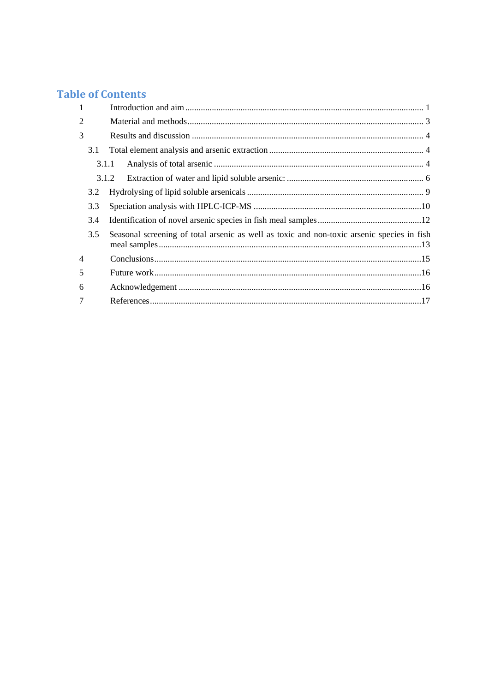# **Table of Contents**

| $\mathbf{1}$   |       |                                                                                            |  |
|----------------|-------|--------------------------------------------------------------------------------------------|--|
| $\overline{2}$ |       |                                                                                            |  |
| 3              |       |                                                                                            |  |
|                | 3.1   |                                                                                            |  |
|                | 3.1.1 |                                                                                            |  |
|                |       | 3.1.2                                                                                      |  |
|                | 3.2   |                                                                                            |  |
|                | 3.3   |                                                                                            |  |
|                | 3.4   |                                                                                            |  |
|                | 3.5   | Seasonal screening of total arsenic as well as toxic and non-toxic arsenic species in fish |  |
| $\overline{4}$ |       |                                                                                            |  |
| 5              |       |                                                                                            |  |
| 6              |       |                                                                                            |  |
| 7              |       |                                                                                            |  |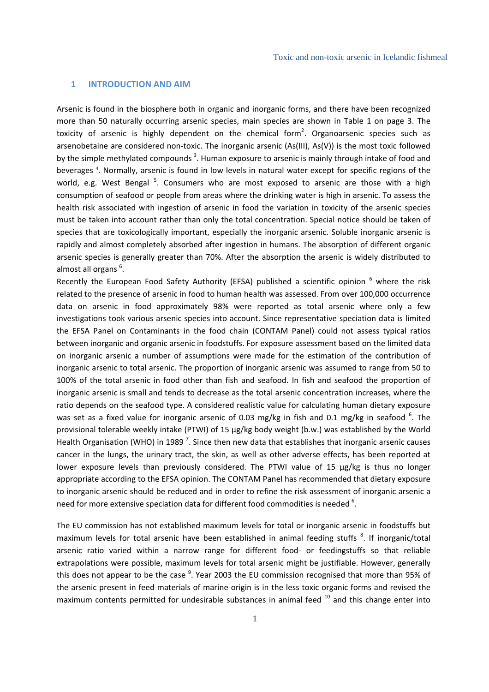#### **1 INTRODUCTION AND AIM**

Arsenic is found in the biosphere both in organic and inorganic forms, and there have been recognized more than 50 naturally occurring arsenic species, main species are shown in Table 1 on page 3. The toxicity of arsenic is highly dependent on the chemical form<sup>2</sup>. Organoarsenic species such as arsenobetaine are considered non-toxic. The inorganic arsenic (As(III), As(V)) is the most toxic followed by the simple methylated compounds<sup>3</sup>. Human exposure to arsenic is mainly through intake of food and beverages<sup>4</sup>. Normally, arsenic is found in low levels in natural water except for specific regions of the world, e.g. West Bengal <sup>5</sup>. Consumers who are most exposed to arsenic are those with a high consumption of seafood or people from areas where the drinking water is high in arsenic. To assess the health risk associated with ingestion of arsenic in food the variation in toxicity of the arsenic species must be taken into account rather than only the total concentration. Special notice should be taken of species that are toxicologically important, especially the inorganic arsenic. Soluble inorganic arsenic is rapidly and almost completely absorbed after ingestion in humans. The absorption of different organic arsenic species is generally greater than 70%. After the absorption the arsenic is widely distributed to almost all organs <sup>6</sup>.

Recently the European Food Safety Authority (EFSA) published a scientific opinion <sup>6</sup> where the risk related to the presence of arsenic in food to human health was assessed. From over 100,000 occurrence data on arsenic in food approximately 98% were reported as total arsenic where only a few investigations took various arsenic species into account. Since representative speciation data is limited the EFSA Panel on Contaminants in the food chain (CONTAM Panel) could not assess typical ratios between inorganic and organic arsenic in foodstuffs. For exposure assessment based on the limited data on inorganic arsenic a number of assumptions were made for the estimation of the contribution of inorganic arsenic to total arsenic. The proportion of inorganic arsenic was assumed to range from 50 to 100% of the total arsenic in food other than fish and seafood. In fish and seafood the proportion of inorganic arsenic is small and tends to decrease as the total arsenic concentration increases, where the ratio depends on the seafood type. A considered realistic value for calculating human dietary exposure was set as a fixed value for inorganic arsenic of 0.03 mg/kg in fish and 0.1 mg/kg in seafood  $^6$ . The provisional tolerable weekly intake (PTWI) of 15 μg/kg body weight (b.w.) was established by the World Health Organisation (WHO) in 1989<sup>7</sup>. Since then new data that establishes that inorganic arsenic causes cancer in the lungs, the urinary tract, the skin, as well as other adverse effects, has been reported at lower exposure levels than previously considered. The PTWI value of 15 μg/kg is thus no longer appropriate according to the EFSA opinion. The CONTAM Panel has recommended that dietary exposure to inorganic arsenic should be reduced and in order to refine the risk assessment of inorganic arsenic a need for more extensive speciation data for different food commodities is needed  $6$ .

The EU commission has not established maximum levels for total or inorganic arsenic in foodstuffs but maximum levels for total arsenic have been established in animal feeding stuffs <sup>8</sup>. If inorganic/total arsenic ratio varied within a narrow range for different food‐ or feedingstuffs so that reliable extrapolations were possible, maximum levels for total arsenic might be justifiable. However, generally this does not appear to be the case <sup>9</sup>. Year 2003 the EU commission recognised that more than 95% of the arsenic present in feed materials of marine origin is in the less toxic organic forms and revised the maximum contents permitted for undesirable substances in animal feed  $10$  and this change enter into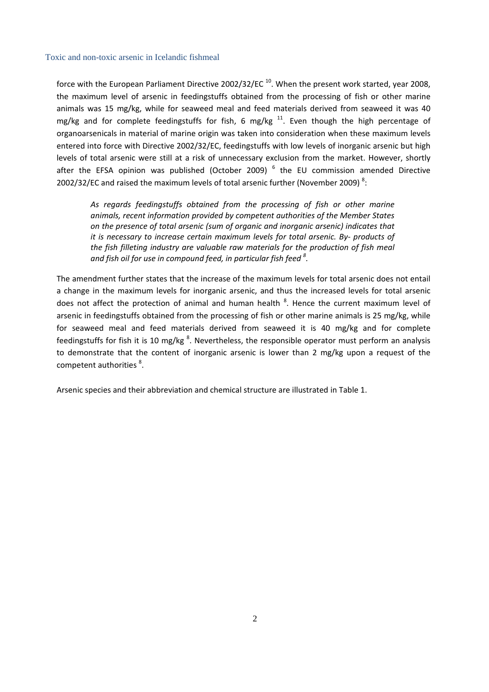force with the European Parliament Directive 2002/32/EC<sup>10</sup>. When the present work started, year 2008, the maximum level of arsenic in feedingstuffs obtained from the processing of fish or other marine animals was 15 mg/kg, while for seaweed meal and feed materials derived from seaweed it was 40 mg/kg and for complete feedingstuffs for fish, 6 mg/kg  $^{11}$ . Even though the high percentage of organoarsenicals in material of marine origin was taken into consideration when these maximum levels entered into force with Directive 2002/32/EC, feedingstuffs with low levels of inorganic arsenic but high levels of total arsenic were still at a risk of unnecessary exclusion from the market. However, shortly after the EFSA opinion was published (October 2009)  $<sup>6</sup>$  the EU commission amended Directive</sup> 2002/32/EC and raised the maximum levels of total arsenic further (November 2009)<sup>8</sup>:

*As regards feedingstuffs obtained from the processing of fish or other marine animals, recent information provided by competent authorities of the Member States on the presence of total arsenic (sum of organic and inorganic arsenic) indicates that it is necessary to increase certain maximum levels for total arsenic. By‐ products of the fish filleting industry are valuable raw materials for the production of fish meal and fish oil for use in compound feed, in particular fish feed <sup>8</sup> .*

The amendment further states that the increase of the maximum levels for total arsenic does not entail a change in the maximum levels for inorganic arsenic, and thus the increased levels for total arsenic does not affect the protection of animal and human health <sup>8</sup>. Hence the current maximum level of arsenic in feedingstuffs obtained from the processing of fish or other marine animals is 25 mg/kg, while for seaweed meal and feed materials derived from seaweed it is 40 mg/kg and for complete feedingstuffs for fish it is 10 mg/kg <sup>8</sup>. Nevertheless, the responsible operator must perform an analysis to demonstrate that the content of inorganic arsenic is lower than 2 mg/kg upon a request of the competent authorities<sup>8</sup>.

Arsenic species and their abbreviation and chemical structure are illustrated in Table 1.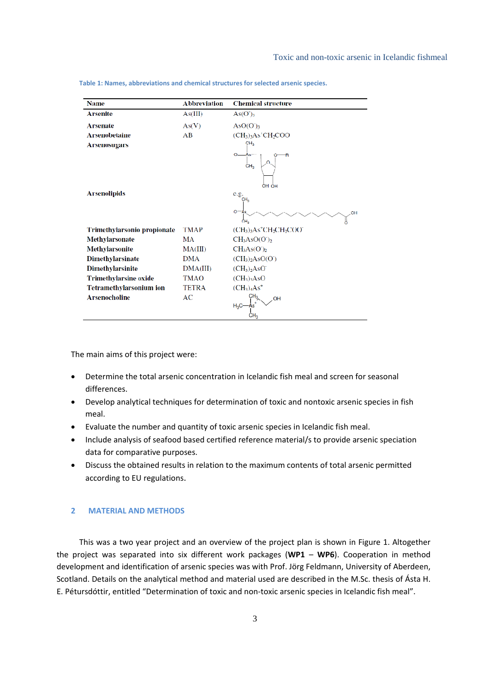| <b>Name</b>                    | <b>Abbreviation</b> | <b>Chemical structure</b>                                    |
|--------------------------------|---------------------|--------------------------------------------------------------|
| <b>Arsenite</b>                | As(III)             | As(O) <sub>3</sub>                                           |
| <b>Arsenate</b>                | As(V)               | AsO(O <sub>3</sub> )                                         |
| <b>Arsenobetaine</b>           | AB                  | $(CH3)3As'CH2COO$                                            |
| <b>Arsenosugars</b>            |                     | CH <sub>3</sub>                                              |
|                                |                     | $O = As$<br>R<br>∩<br>CH <sub>3</sub><br>OH OH               |
| <b>Arsenolipids</b>            |                     | e.g.<br>CH <sub>3</sub><br>$O = As$<br>OH<br>ĊН <sub>о</sub> |
| Trimethylarsonio propionate    | TMAP                | $(CH3)3As+CH2CH2COO-$                                        |
| <b>Methylarsonate</b>          | MA                  | $CH3ASO(O2)2$                                                |
| <b>Methylarsonite</b>          | MA(III)             | CH <sub>3</sub> As(O <sub>2</sub> )                          |
| <b>Dimethylarsinate</b>        | <b>DMA</b>          | $(CH3)2 AsO(O2)$                                             |
| <b>Dimethylarsinite</b>        | DMA(III)            | $(CH_3)$ <sub>2</sub> A <sub>s</sub> O <sup>-</sup>          |
| <b>Trimethylarsine oxide</b>   | <b>TMAO</b>         | $(CH_3)$ <sub>3</sub> A <sub>s</sub> O                       |
| <b>Tetramethylarsonium ion</b> | <b>TETRA</b>        | $(CH_3)_4As^+$                                               |
| <b>Arsenocholine</b>           | AC                  | OH<br>$H_3C$                                                 |

**Table 1: Names, abbreviations and chemical structures for selected arsenic species.**

The main aims of this project were:

- Determine the total arsenic concentration in Icelandic fish meal and screen for seasonal differences.
- Develop analytical techniques for determination of toxic and nontoxic arsenic species in fish meal.
- Evaluate the number and quantity of toxic arsenic species in Icelandic fish meal.
- Include analysis of seafood based certified reference material/s to provide arsenic speciation data for comparative purposes.
- Discuss the obtained results in relation to the maximum contents of total arsenic permitted according to EU regulations.

## **2 MATERIAL AND METHODS**

This was a two year project and an overview of the project plan is shown in Figure 1. Altogether the project was separated into six different work packages (**WP1** – **WP6**). Cooperation in method development and identification of arsenic species was with Prof. Jörg Feldmann, University of Aberdeen, Scotland. Details on the analytical method and material used are described in the M.Sc. thesis of Ásta H. E. Pétursdóttir, entitled "Determination of toxic and non‐toxic arsenic species in Icelandic fish meal".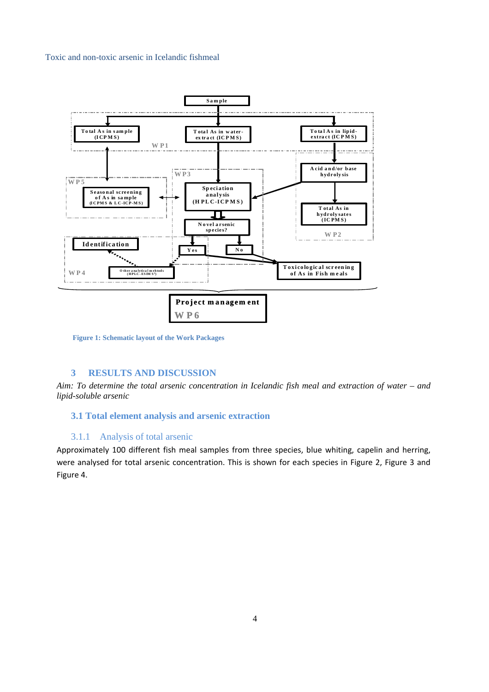

**Figure 1: Schematic layout of the Work Packages** 

# **3 RESULTS AND DISCUSSION**

*Aim: To determine the total arsenic concentration in Icelandic fish meal and extraction of water – and lipid-soluble arsenic*

# **3.1 Total element analysis and arsenic extraction**

# 3.1.1 Analysis of total arsenic

Approximately 100 different fish meal samples from three species, blue whiting, capelin and herring, were analysed for total arsenic concentration. This is shown for each species in Figure 2, Figure 3 and Figure 4.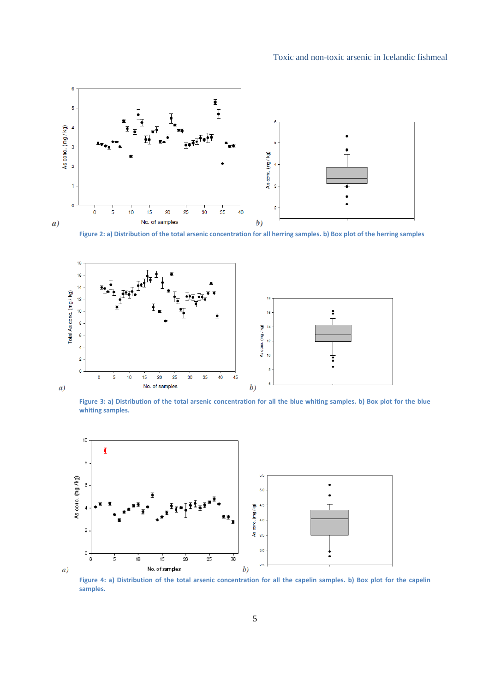

Figure 2: a) Distribution of the total arsenic concentration for all herring samples. b) Box plot of the herring samples



Figure 3: a) Distribution of the total arsenic concentration for all the blue whiting samples. b) Box plot for the blue **whiting samples.**



Figure 4: a) Distribution of the total arsenic concentration for all the capelin samples. b) Box plot for the capelin **samples.**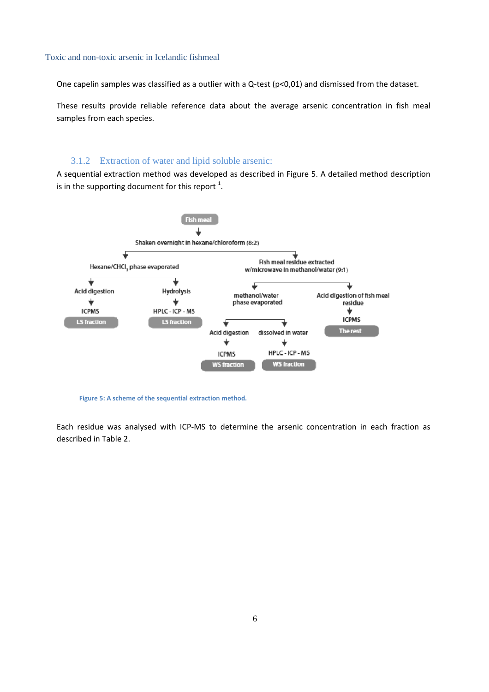One capelin samples was classified as a outlier with a Q-test (p<0,01) and dismissed from the dataset.

These results provide reliable reference data about the average arsenic concentration in fish meal samples from each species.

# 3.1.2 Extraction of water and lipid soluble arsenic:

A sequential extraction method was developed as described in Figure 5. A detailed method description is in the supporting document for this report  $^1$ .



**Figure 5: A scheme of the sequential extraction method.**

Each residue was analysed with ICP‐MS to determine the arsenic concentration in each fraction as described in Table 2.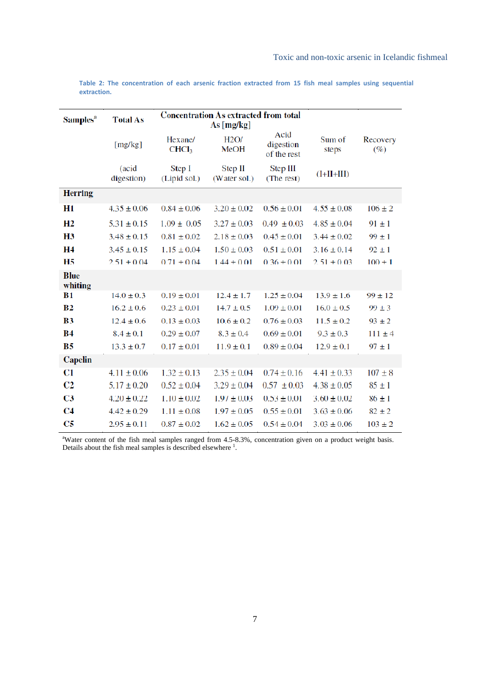| Samples <sup>a</sup>   | <b>Total As</b>     | <b>Concentration As extracted from total</b><br>As [mg/kg] |                         |                                  |                 |                 |
|------------------------|---------------------|------------------------------------------------------------|-------------------------|----------------------------------|-----------------|-----------------|
|                        | [mg/kg]             | Hexane/<br>CHCl <sub>3</sub>                               | H2O/<br><b>MeOH</b>     | Acid<br>digestion<br>of the rest | Sum of<br>steps | Recovery<br>(%) |
|                        | (acid<br>digestion) | Step I<br>(Lipid sol.)                                     | Step II<br>(Water sol.) | Step III<br>(The rest)           | $(I+II+III)$    |                 |
| <b>Herring</b>         |                     |                                                            |                         |                                  |                 |                 |
| H1                     | $4.35 \pm 0.06$     | $0.84 \pm 0.06$                                            | $3.20 \pm 0.02$         | $0.56 \pm 0.01$                  | $4.55 \pm 0.08$ | $106 \pm 2$     |
| H <sub>2</sub>         | $5.31 \pm 0.15$     | $1.09 \pm 0.05$                                            | $3.27 \pm 0.03$         | $0.49 \pm 0.03$                  | $4.85 \pm 0.04$ | $91 \pm 1$      |
| H <sub>3</sub>         | $3.48 \pm 0.15$     | $0.81 \pm 0.02$                                            | $2.18 \pm 0.03$         | $0.45 \pm 0.01$                  | $3.44 \pm 0.02$ | $99 \pm 1$      |
| H4                     | $3.45 \pm 0.15$     | $1.15 \pm 0.04$                                            | $1.50 \pm 0.03$         | $0.51 \pm 0.01$                  | $3.16 \pm 0.14$ | $92 \pm 1$      |
| <b>H5</b>              | $2.51 \pm 0.04$     | $0.71 \pm 0.04$                                            | $1.44 \pm 0.01$         | $0.36 \pm 0.01$                  | $2.51 \pm 0.03$ | $100 \pm 1$     |
| <b>Blue</b><br>whiting |                     |                                                            |                         |                                  |                 |                 |
| <b>B1</b>              | $14.0 \pm 0.3$      | $0.19 \pm 0.01$                                            | $12.4 \pm 1.7$          | $1.25 \pm 0.04$                  | $13.9 \pm 1.6$  | $99 \pm 12$     |
| B <sub>2</sub>         | $16.2 \pm 0.6$      | $0.23 \pm 0.01$                                            | $14.7 \pm 0.5$          | $1.09 \pm 0.01$                  | $16.0 \pm 0.5$  | $99 \pm 3$      |
| B <sub>3</sub>         | $12.4 \pm 0.6$      | $0.13 \pm 0.03$                                            | $10.6 \pm 0.2$          | $0.76 \pm 0.03$                  | $11.5 \pm 0.2$  | $93 \pm 2$      |
| <b>B4</b>              | $8.4 \pm 0.1$       | $0.29 \pm 0.07$                                            | $8.3 \pm 0.4$           | $0.69 \pm 0.01$                  | $9.3 \pm 0.3$   | $111 \pm 4$     |
| <b>B5</b>              | $13.3 \pm 0.7$      | $0.17 \pm 0.01$                                            | $11.9 \pm 0.1$          | $0.89 \pm 0.04$                  | $12.9 \pm 0.1$  | $97 \pm 1$      |
| Capelin                |                     |                                                            |                         |                                  |                 |                 |
| C1                     | $4.11 \pm 0.06$     | $1.32 \pm 0.13$                                            | $2.35 \pm 0.04$         | $0.74 \pm 0.16$                  | $4.41 \pm 0.33$ | $107 \pm 8$     |
| C <sub>2</sub>         | $5.17 \pm 0.20$     | $0.52 \pm 0.04$                                            | $3.29 \pm 0.04$         | $0.57 \pm 0.03$                  | $4.38 \pm 0.05$ | $85 \pm 1$      |
| C <sub>3</sub>         | $4.20 \pm 0.22$     | $1.10 \pm 0.02$                                            | $1.97 \pm 0.03$         | $0.53 \pm 0.01$                  | $3.60 \pm 0.02$ | $86 \pm 1$      |
| C <sub>4</sub>         | $4.42 \pm 0.29$     | $1.11 \pm 0.08$                                            | $1.97 \pm 0.05$         | $0.55 \pm 0.01$                  | $3.63 \pm 0.06$ | $82 \pm 2$      |
| C5                     | $2.95 \pm 0.11$     | $0.87 \pm 0.02$                                            | $1.62 \pm 0.05$         | $0.54 \pm 0.04$                  | $3.03 \pm 0.06$ | $103 \pm 2$     |

**Table 2: The concentration of each arsenic fraction extracted from 15 fish meal samples using sequential extraction.**

<sup>a</sup>Water content of the fish meal samples ranged from 4.5-8.3%, concentration given on a product weight basis. Details about the fish meal samples is described elsewhere  $<sup>1</sup>$ .</sup>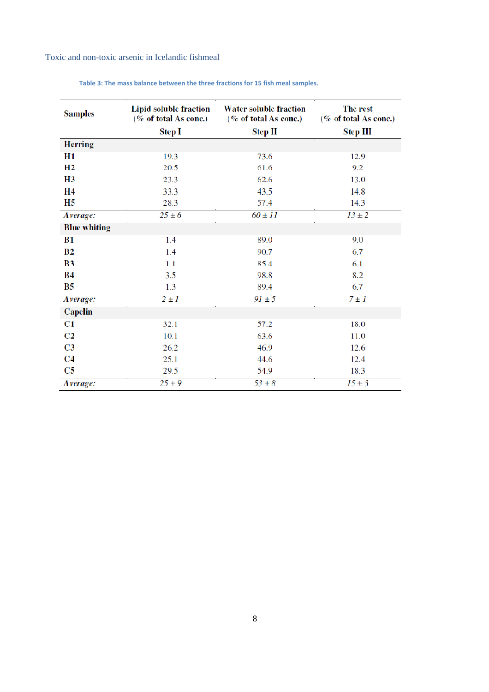| <b>Samples</b>      | Lipid soluble fraction<br>(% of total As conc.) | <b>Water soluble fraction</b><br>(% of total As conc.) | The rest<br>(% of total As conc.) |
|---------------------|-------------------------------------------------|--------------------------------------------------------|-----------------------------------|
|                     | <b>Step I</b>                                   | <b>Step II</b>                                         | <b>Step III</b>                   |
| <b>Herring</b>      |                                                 |                                                        |                                   |
| H1                  | 19.3                                            | 73.6                                                   | 12.9                              |
| H <sub>2</sub>      | 20.5                                            | 61.6                                                   | 9.2                               |
| <b>H3</b>           | 23.3                                            | 62.6                                                   | 13.0                              |
| Н4                  | 33.3                                            | 43.5                                                   | 14.8                              |
| Н5                  | 28.3                                            | 57.4                                                   | 14.3                              |
| Average:            | $25 \pm 6$                                      | $60 \pm 11$                                            | $13 \pm 2$                        |
| <b>Blue whiting</b> |                                                 |                                                        |                                   |
| <b>B1</b>           | 1.4                                             | 89.0                                                   | 9.0                               |
| B <sub>2</sub>      | 1.4                                             | 90.7                                                   | 6.7                               |
| B <sub>3</sub>      | 1.1                                             | 85.4                                                   | 6.1                               |
| В4                  | 3.5                                             | 98.8                                                   | 8.2                               |
| <b>B5</b>           | 1.3                                             | 89.4                                                   | 6.7                               |
| Average:            | $2 \pm I$                                       | $91 \pm 5$                                             | $7 \pm 1$                         |
| <b>Capelin</b>      |                                                 |                                                        |                                   |
| C1                  | 32.1                                            | 57.2                                                   | 18.0                              |
| C <sub>2</sub>      | 10.1                                            | 63.6                                                   | 11.0                              |
| C <sub>3</sub>      | 26.2                                            | 46.9                                                   | 12.6                              |
| C <sub>4</sub>      | 25.1                                            | 44.6                                                   | 12.4                              |
| C <sub>5</sub>      | 29.5                                            | 54.9                                                   | 18.3                              |
| Average:            | $25 \pm 9$                                      | $53 \pm 8$                                             | $15 \pm 3$                        |

**Table 3: The mass balance between the three fractions for 15 fish meal samples.**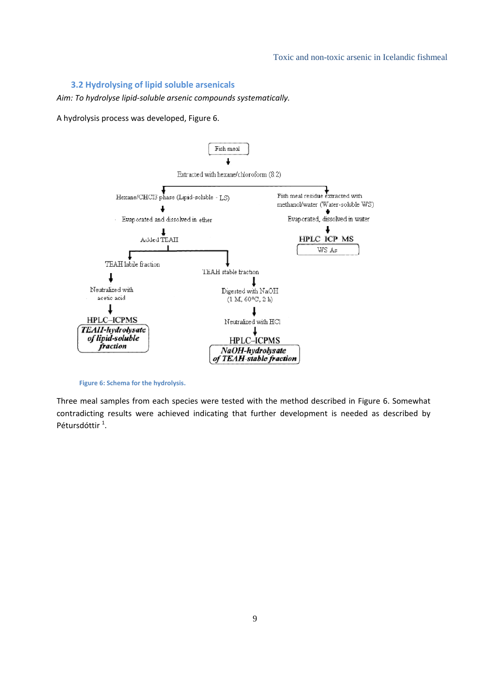#### **3.2 Hydrolysing of lipid soluble arsenicals**

*Aim: To hydrolyse lipid‐soluble arsenic compounds systematically.*

A hydrolysis process was developed, Figure 6.



**Figure 6: Schema for the hydrolysis.**

Three meal samples from each species were tested with the method described in Figure 6. Somewhat contradicting results were achieved indicating that further development is needed as described by Pétursdóttir<sup>1</sup>.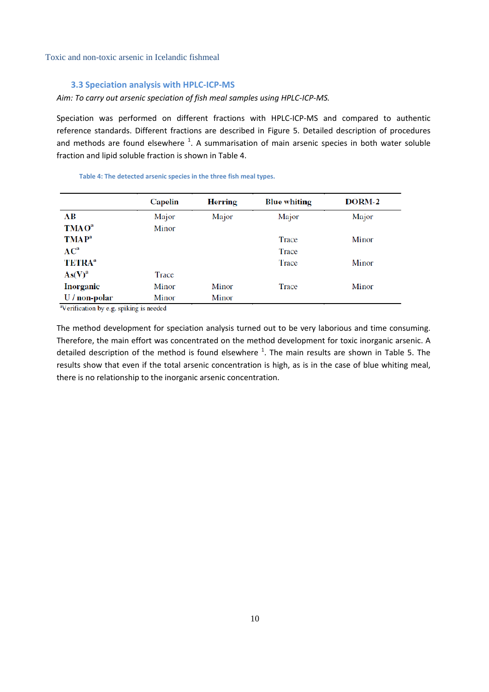#### **3.3 Speciation analysis with HPLC‐ICP‐MS**

#### *Aim: To carry out arsenic speciation of fish meal samples using HPLC‐ICP‐MS.*

Speciation was performed on different fractions with HPLC-ICP-MS and compared to authentic reference standards. Different fractions are described in Figure 5. Detailed description of procedures and methods are found elsewhere <sup>1</sup>. A summarisation of main arsenic species in both water soluble fraction and lipid soluble fraction is shown in Table 4.

|                           | <b>Capelin</b> | <b>Herring</b> | <b>Blue whiting</b> | DORM-2 |
|---------------------------|----------------|----------------|---------------------|--------|
| AВ                        | Major          | Major          | Major               | Major  |
| <b>TMAO</b> <sup>a</sup>  | Minor          |                |                     |        |
| <b>TMAP</b> <sup>a</sup>  |                |                | Trace               | Minor  |
| $AC^a$                    |                |                | Trace               |        |
| <b>TETRA</b> <sup>a</sup> |                |                | Trace               | Minor  |
| As(V) <sup>a</sup>        | Trace          |                |                     |        |
| Inorganic                 | Minor          | Minor          | Trace               | Minor  |
| U / non-polar             | Minor          | Minor          |                     |        |

**Table 4: The detected arsenic species in the three fish meal types.**

<sup>a</sup>Verification by e.g. spiking is needed

The method development for speciation analysis turned out to be very laborious and time consuming. Therefore, the main effort was concentrated on the method development for toxic inorganic arsenic. A detailed description of the method is found elsewhere  $^1$ . The main results are shown in Table 5. The results show that even if the total arsenic concentration is high, as is in the case of blue whiting meal, there is no relationship to the inorganic arsenic concentration.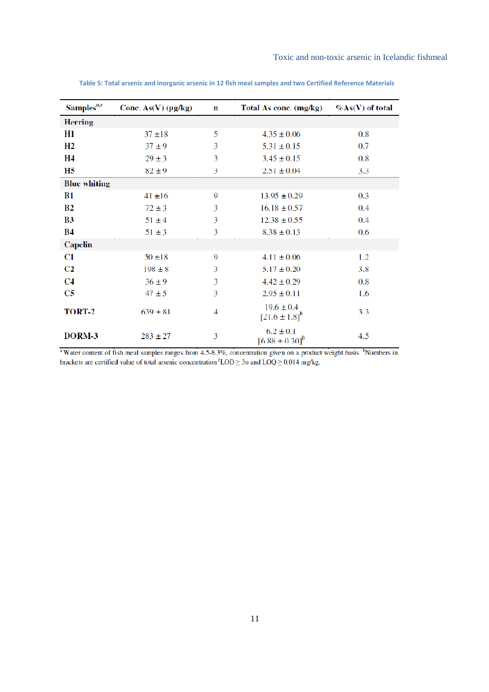| Samples <sup>a,c</sup> | Conc. $As(V)$ (µg/kg) | $\mathbf n$    | Total As conc. (mg/kg)                 | $\%As(V)$ of total |
|------------------------|-----------------------|----------------|----------------------------------------|--------------------|
| <b>Herring</b>         |                       |                |                                        |                    |
| H1                     | $37 + 18$             | 5              | $4.35 \pm 0.06$                        | 0.8                |
| H2                     | $37 \pm 9$            | 3              | $5.31 \pm 0.15$                        | 0.7                |
| <b>H4</b>              | $29 \pm 3$            | 3              | $3.45 \pm 0.15$                        | $0.8\,$            |
| <b>H5</b>              | $82 \pm 9$            | 3              | $2.51 \pm 0.04$                        | 3.3                |
| <b>Blue whiting</b>    |                       |                |                                        |                    |
| <b>B1</b>              | $41 \pm 16$           | 9              | $13.95 \pm 0.29$                       | 0.3                |
| B <sub>2</sub>         | $72 \pm 3$            | 3              | $16.18 \pm 0.57$                       | 0.4                |
| <b>B3</b>              | $51 \pm 4$            | 3              | $12.38 \pm 0.55$                       | $0.4\,$            |
| <b>B4</b>              | $51 \pm 3$            | 3              | $8.38 \pm 0.13$                        | 0.6                |
| <b>Capelin</b>         |                       |                |                                        |                    |
| C1                     | $50 \pm 18$           | 9              | $4.11 \pm 0.06$                        | 1.2                |
| C <sub>2</sub>         | $198 \pm 8$           | 3              | $5.17 \pm 0.20$                        | 3.8                |
| C <sub>4</sub>         | $36 \pm 9$            | 3              | $4.42 \pm 0.29$                        | 0.8                |
| C5                     | $47 \pm 5$            | 3              | $2.95 \pm 0.11$                        | 1.6                |
| TORT-2                 | $639 \pm 81$          | $\overline{4}$ | $19.6 \pm 0.4$<br>$[21.6 \pm 1.8]^{b}$ | 3.3                |
| DORM-3                 | $283 \pm 27$          | 3              | $6.2 \pm 0.1$<br>$[6.88 \pm 0.30]^{b}$ | 4.5                |

Table 5: Total arsenic and inorganic arsenic in 12 fish meal samples and two Certified Reference Materials

<sup>a</sup> Water content of fish meal samples ranges from 4.5-8.3%, concentration given on a product weight basis. <sup>b</sup>Numbers in brackets are certified value of total arsenic concentration  ${}^c\text{LOD} \geq 3\sigma$  and  $\text{LOQ} \geq 0.014$  mg/kg.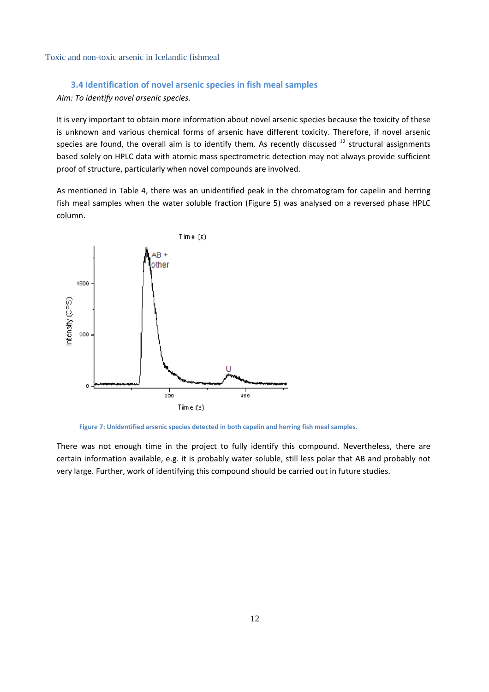## **3.4 Identification of novel arsenic species in fish meal samples**

*Aim: To identify novel arsenic species.*

It is very important to obtain more information about novel arsenic species because the toxicity of these is unknown and various chemical forms of arsenic have different toxicity. Therefore, if novel arsenic species are found, the overall aim is to identify them. As recently discussed  $^{12}$  structural assignments based solely on HPLC data with atomic mass spectrometric detection may not always provide sufficient proof of structure, particularly when novel compounds are involved.

As mentioned in Table 4, there was an unidentified peak in the chromatogram for capelin and herring fish meal samples when the water soluble fraction (Figure 5) was analysed on a reversed phase HPLC column.





There was not enough time in the project to fully identify this compound. Nevertheless, there are certain information available, e.g. it is probably water soluble, still less polar that AB and probably not very large. Further, work of identifying this compound should be carried out in future studies.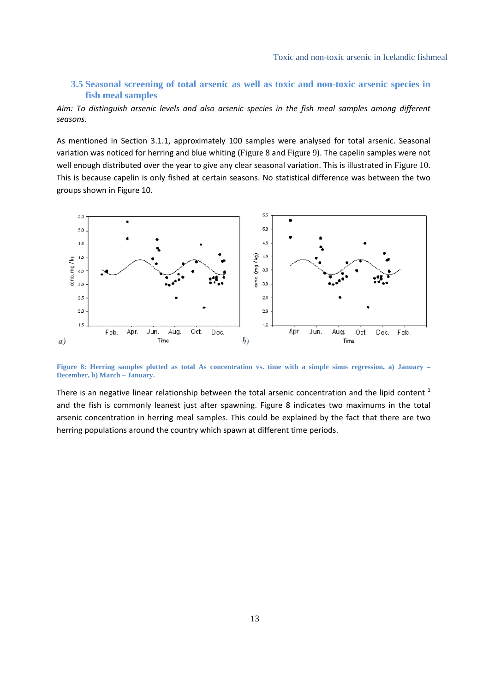# **3.5 Seasonal screening of total arsenic as well as toxic and non-toxic arsenic species in fish meal samples**

*Aim: To distinguish arsenic levels and also arsenic species in the fish meal samples among different seasons.*

As mentioned in Section 3.1.1, approximately 100 samples were analysed for total arsenic. Seasonal variation was noticed for herring and blue whiting (Figure 8 and Figure 9). The capelin samples were not well enough distributed over the year to give any clear seasonal variation. This is illustrated in Figure 10. This is because capelin is only fished at certain seasons. No statistical difference was between the two groups shown in Figure 10.



**Figure 8: Herring samples plotted as total As concentration vs. time with a simple sinus regression, a) January – December, b) March – January.**

There is an negative linear relationship between the total arsenic concentration and the lipid content  $<sup>1</sup>$ </sup> and the fish is commonly leanest just after spawning. Figure 8 indicates two maximums in the total arsenic concentration in herring meal samples. This could be explained by the fact that there are two herring populations around the country which spawn at different time periods.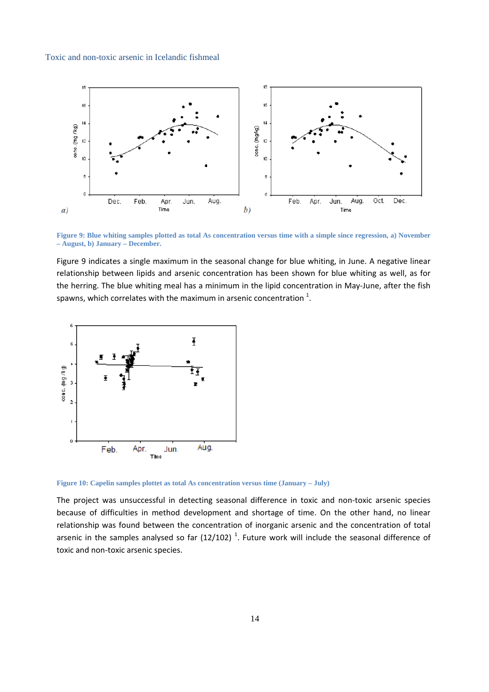

**Figure 9: Blue whiting samples plotted as total As concentration versus time with a simple since regression, a) November – August, b) January – December.**

Figure 9 indicates a single maximum in the seasonal change for blue whiting, in June. A negative linear relationship between lipids and arsenic concentration has been shown for blue whiting as well, as for the herring. The blue whiting meal has a minimum in the lipid concentration in May-June, after the fish spawns, which correlates with the maximum in arsenic concentration  $^{1}$ .



**Figure 10: Capelin samples plottet as total As concentration versus time (January – July)**

The project was unsuccessful in detecting seasonal difference in toxic and non-toxic arsenic species because of difficulties in method development and shortage of time. On the other hand, no linear relationship was found between the concentration of inorganic arsenic and the concentration of total arsenic in the samples analysed so far  $(12/102)$   $^{1}$ . Future work will include the seasonal difference of toxic and non‐toxic arsenic species.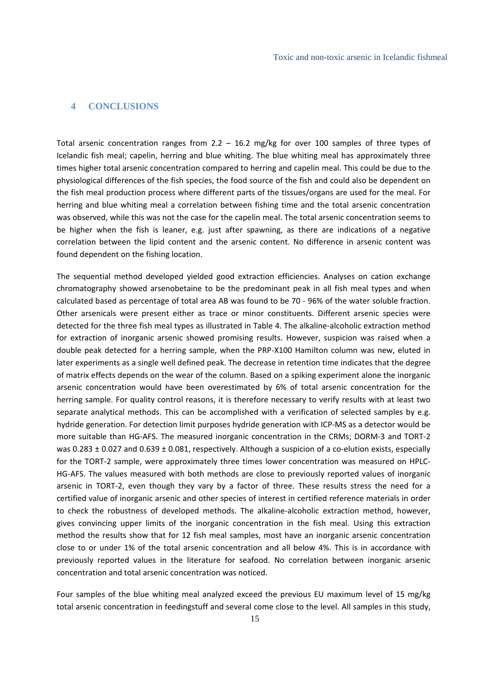# **4 CONCLUSIONS**

Total arsenic concentration ranges from  $2.2 - 16.2$  mg/kg for over 100 samples of three types of Icelandic fish meal; capelin, herring and blue whiting. The blue whiting meal has approximately three times higher total arsenic concentration compared to herring and capelin meal. This could be due to the physiological differences of the fish species, the food source of the fish and could also be dependent on the fish meal production process where different parts of the tissues/organs are used for the meal. For herring and blue whiting meal a correlation between fishing time and the total arsenic concentration was observed, while this was not the case for the capelin meal. The total arsenic concentration seems to be higher when the fish is leaner, e.g. just after spawning, as there are indications of a negative correlation between the lipid content and the arsenic content. No difference in arsenic content was found dependent on the fishing location.

The sequential method developed yielded good extraction efficiencies. Analyses on cation exchange chromatography showed arsenobetaine to be the predominant peak in all fish meal types and when calculated based as percentage of total area AB was found to be 70 ‐ 96% of the water soluble fraction. Other arsenicals were present either as trace or minor constituents. Different arsenic species were detected for the three fish meal types as illustrated in Table 4. The alkaline‐alcoholic extraction method for extraction of inorganic arsenic showed promising results. However, suspicion was raised when a double peak detected for a herring sample, when the PRP‐X100 Hamilton column was new, eluted in later experiments as a single well defined peak. The decrease in retention time indicates that the degree of matrix effects depends on the wear of the column. Based on a spiking experiment alone the inorganic arsenic concentration would have been overestimated by 6% of total arsenic concentration for the herring sample. For quality control reasons, it is therefore necessary to verify results with at least two separate analytical methods. This can be accomplished with a verification of selected samples by e.g. hydride generation. For detection limit purposes hydride generation with ICP‐MS as a detector would be more suitable than HG‐AFS. The measured inorganic concentration in the CRMs; DORM‐3 and TORT‐2 was 0.283  $\pm$  0.027 and 0.639  $\pm$  0.081, respectively. Although a suspicion of a co-elution exists, especially for the TORT‐2 sample, were approximately three times lower concentration was measured on HPLC‐ HG‐AFS. The values measured with both methods are close to previously reported values of inorganic arsenic in TORT-2, even though they vary by a factor of three. These results stress the need for a certified value of inorganic arsenic and other species of interest in certified reference materials in order to check the robustness of developed methods. The alkaline‐alcoholic extraction method, however, gives convincing upper limits of the inorganic concentration in the fish meal. Using this extraction method the results show that for 12 fish meal samples, most have an inorganic arsenic concentration close to or under 1% of the total arsenic concentration and all below 4%. This is in accordance with previously reported values in the literature for seafood. No correlation between inorganic arsenic concentration and total arsenic concentration was noticed.

Four samples of the blue whiting meal analyzed exceed the previous EU maximum level of 15 mg/kg total arsenic concentration in feedingstuff and several come close to the level. All samples in this study,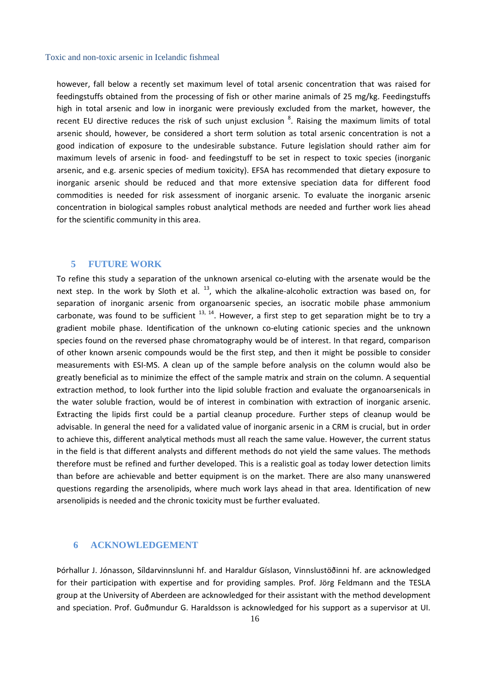however, fall below a recently set maximum level of total arsenic concentration that was raised for feedingstuffs obtained from the processing of fish or other marine animals of 25 mg/kg. Feedingstuffs high in total arsenic and low in inorganic were previously excluded from the market, however, the recent EU directive reduces the risk of such unjust exclusion <sup>8</sup>. Raising the maximum limits of total arsenic should, however, be considered a short term solution as total arsenic concentration is not a good indication of exposure to the undesirable substance. Future legislation should rather aim for maximum levels of arsenic in food‐ and feedingstuff to be set in respect to toxic species (inorganic arsenic, and e.g. arsenic species of medium toxicity). EFSA has recommended that dietary exposure to inorganic arsenic should be reduced and that more extensive speciation data for different food commodities is needed for risk assessment of inorganic arsenic. To evaluate the inorganic arsenic concentration in biological samples robust analytical methods are needed and further work lies ahead for the scientific community in this area.

## **5 FUTURE WORK**

To refine this study a separation of the unknown arsenical co‐eluting with the arsenate would be the next step. In the work by Sloth et al.  $^{13}$ , which the alkaline-alcoholic extraction was based on, for separation of inorganic arsenic from organoarsenic species, an isocratic mobile phase ammonium carbonate, was found to be sufficient  $^{13, 14}$ . However, a first step to get separation might be to try a gradient mobile phase. Identification of the unknown co-eluting cationic species and the unknown species found on the reversed phase chromatography would be of interest. In that regard, comparison of other known arsenic compounds would be the first step, and then it might be possible to consider measurements with ESI‐MS. A clean up of the sample before analysis on the column would also be greatly beneficial as to minimize the effect of the sample matrix and strain on the column. A sequential extraction method, to look further into the lipid soluble fraction and evaluate the organoarsenicals in the water soluble fraction, would be of interest in combination with extraction of inorganic arsenic. Extracting the lipids first could be a partial cleanup procedure. Further steps of cleanup would be advisable. In general the need for a validated value of inorganic arsenic in a CRM is crucial, but in order to achieve this, different analytical methods must all reach the same value. However, the current status in the field is that different analysts and different methods do not yield the same values. The methods therefore must be refined and further developed. This is a realistic goal as today lower detection limits than before are achievable and better equipment is on the market. There are also many unanswered questions regarding the arsenolipids, where much work lays ahead in that area. Identification of new arsenolipids is needed and the chronic toxicity must be further evaluated.

# **6 ACKNOWLEDGEMENT**

Þórhallur J. Jónasson, Síldarvinnslunni hf. and Haraldur Gíslason, Vinnslustöðinni hf. are acknowledged for their participation with expertise and for providing samples. Prof. Jörg Feldmann and the TESLA group at the University of Aberdeen are acknowledged for their assistant with the method development and speciation. Prof. Guðmundur G. Haraldsson is acknowledged for his support as a supervisor at UI.